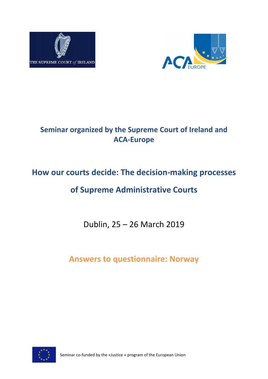



## **Seminar organized by the Supreme Court of Ireland and ACA-Europe**

# **How our courts decide: The decision-making processes**

## **of Supreme Administrative Courts**

Dublin, 25 – 26 March 2019

**Answers to questionnaire: Norway**



Seminar co-funded by the «Justice » program of the European Union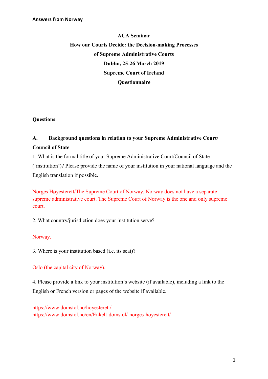## **ACA Seminar How our Courts Decide: the Decision-making Processes of Supreme Administrative Courts Dublin, 25-26 March 2019 Supreme Court of Ireland Questionnaire**

**Questions**

## **A. Background questions in relation to your Supreme Administrative Court/ Council of State**

1. What is the formal title of your Supreme Administrative Court/Council of State ('institution')? Please provide the name of your institution in your national language and the English translation if possible.

Norges Høyesterett/The Supreme Court of Norway. Norway does not have a separate supreme administrative court. The Supreme Court of Norway is the one and only supreme court.

2. What country/jurisdiction does your institution serve?

## Norway.

3. Where is your institution based (i.e. its seat)?

## Oslo (the capital city of Norway).

4. Please provide a link to your institution's website (if available), including a link to the English or French version or pages of the website if available.

<https://www.domstol.no/hoyesterett/> <https://www.domstol.no/en/Enkelt-domstol/-norges-hoyesterett/>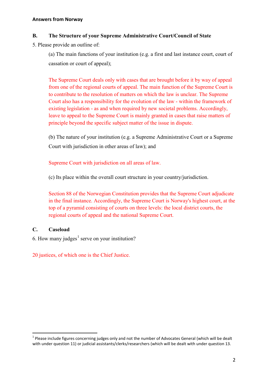#### **B. The Structure of your Supreme Administrative Court/Council of State**

5. Please provide an outline of:

(a) The main functions of your institution (e.g. a first and last instance court, court of cassation or court of appeal);

The Supreme Court deals only with cases that are brought before it by way of appeal from one of the regional courts of appeal. The main function of the Supreme Court is to contribute to the resolution of matters on which the law is unclear. The Supreme Court also has a responsibility for the evolution of the law - within the framework of existing legislation - as and when required by new societal problems. Accordingly, leave to appeal to the Supreme Court is mainly granted in cases that raise matters of principle beyond the specific subject matter of the issue in dispute.

(b) The nature of your institution (e.g. a Supreme Administrative Court or a Supreme Court with jurisdiction in other areas of law); and

Supreme Court with jurisdiction on all areas of law.

(c) Its place within the overall court structure in your country/jurisdiction.

Section 88 of the Norwegian Constitution provides that the Supreme Court adjudicate in the final instance. Accordingly, the Supreme Court is Norway's highest court, at the top of a pyramid consisting of courts on three levels: the local district courts, the regional courts of appeal and the national Supreme Court.

## **C. Caseload**

6. How many judges<sup>[1](#page-2-0)</sup> serve on your institution?

20 justices, of which one is the Chief Justice.

<span id="page-2-0"></span> $1$  Please include figures concerning judges only and not the number of Advocates General (which will be dealt with under question 11) or judicial assistants/clerks/researchers (which will be dealt with under question 13.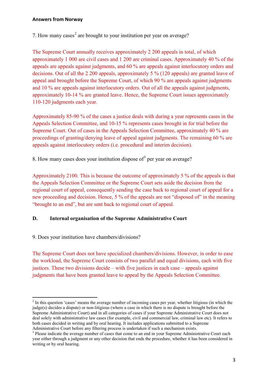7. How many cases<sup>[2](#page-3-0)</sup> are brought to your institution per year on average?

The Supreme Court annually receives approximately 2 200 appeals in total, of which approximately 1 000 are civil cases and 1 200 are criminal cases. Approximately 40 % of the appeals are appeals against judgments, and 60 % are appeals against interlocutory orders and decisions. Out of all the 2 200 appeals, approximately 5 % (120 appeals) are granted leave of appeal and brought before the Supreme Court, of which 90 % are appeals against judgments and 10 % are appeals against interlocutory orders. Out of all the appeals against judgments, approximately 10-14 % are granted leave. Hence, the Supreme Court issues approximately 110-120 judgments each year.

Approximately 85-90 % of the cases a justice deals with during a year represents cases in the Appeals Selection Committee, and 10-15 % represents cases brought in for trial before the Supreme Court. Out of cases in the Appeals Selection Committee, approximately 40 % are proceedings of granting/denying leave of appeal against judgments. The remaining 60 % are appeals against interlocutory orders (i.e. procedural and interim decision).

8. How many cases does your institution dispose of  $3$  per year on average?

Approximately 2100. This is because the outcome of approximately 5 % of the appeals is that the Appeals Selection Committee or the Supreme Court sets aside the decision from the regional court of appeal, consequently sending the case back to regional court of appeal for a new proceeding and decision. Hence, 5 % of the appeals are not "disposed of" in the meaning "brought to an end", but are sent back to regional court of appeal.

#### **D. Internal organisation of the Supreme Administrative Court**

9. Does your institution have chambers/divisions?

The Supreme Court does not have specialized chambers/divisions. However, in order to ease the workload, the Supreme Court consists of two parallel and equal divisions, each with five justices. These two divisions decide – with five justices in each case – appeals against judgments that have been granted leave to appeal by the Appeals Selection Committee.

<span id="page-3-0"></span><sup>&</sup>lt;sup>2</sup> In this question 'cases' means the average number of incoming cases per year, whether litigious (in which the judge(s) decides a dispute) or non-litigious (where a case in which there is no dispute is brought before the Supreme Administrative Court) and in all categories of cases if your Supreme Administrative Court does not deal solely with administrative law cases (for example, civil and commercial law, criminal law etc). It refers to both cases decided in writing and by oral hearing. It includes applications submitted to a Supreme Administrative Court before any filtering process is undertaken if such a mechanism exists.

<span id="page-3-1"></span><sup>&</sup>lt;sup>3</sup> Please indicate the average number of cases that come to an end in your Supreme Administrative Court each year either through a judgment or any other decision that ends the procedure, whether it has been considered in writing or by oral hearing.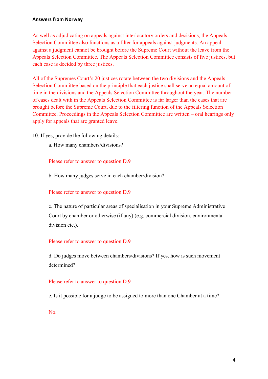As well as adjudicating on appeals against interlocutory orders and decisions, the Appeals Selection Committee also functions as a filter for appeals against judgments. An appeal against a judgment cannot be brought before the Supreme Court without the leave from the Appeals Selection Committee. The Appeals Selection Committee consists of five justices, but each case is decided by three justices.

All of the Supremes Court's 20 justices rotate between the two divisions and the Appeals Selection Committee based on the principle that each justice shall serve an equal amount of time in the divisions and the Appeals Selection Committee throughout the year. The number of cases dealt with in the Appeals Selection Committee is far larger than the cases that are brought before the Supreme Court, due to the filtering function of the Appeals Selection Committee. Proceedings in the Appeals Selection Committee are written – oral hearings only apply for appeals that are granted leave.

10. If yes, provide the following details:

a. How many chambers/divisions?

Please refer to answer to question D.9

b. How many judges serve in each chamber/division?

#### Please refer to answer to question D.9

c. The nature of particular areas of specialisation in your Supreme Administrative Court by chamber or otherwise (if any) (e.g. commercial division, environmental division etc.).

#### Please refer to answer to question D.9

d. Do judges move between chambers/divisions? If yes, how is such movement determined?

#### Please refer to answer to question D.9

e. Is it possible for a judge to be assigned to more than one Chamber at a time?

No.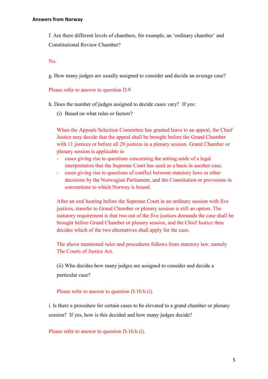f. Are there different levels of chambers, for example, an 'ordinary chamber' and Constitutional Review Chamber?

No.

g. How many judges are usually assigned to consider and decide an average case?

#### Please refer to answer to question D.9

h. Does the number of judges assigned to decide cases vary? If yes:

(i) Based on what rules or factors?

When the Appeals Selection Committee has granted leave to an appeal, the Chief Justice may decide that the appeal shall be brought before the Grand Chamber with 11 justices or before all 20 justices in a plenary session. Grand Chamber or plenary session is applicable in

- cases giving rise to questions concerning the setting aside of a legal interpretation that the Supreme Court has used as a basis in another case,
- cases giving rise to questions of conflict between statutory laws or other decisions by the Norwegian Parliament, and the Constitution or provisions in conventions to which Norway is bound.

After an oral hearing before the Supreme Court in an ordinary session with five justices, transfer to Grand Chamber or plenary session is still an option. The statutory requirement is that two out of the five justices demands the case shall be brought before Grand Chamber or plenary session, and the Chief Justice then decides which of the two alternatives shall apply for the case.

The above mentioned rules and procedures follows from statutory law, namely The Courts of Justice Act.

(ii) Who decides how many judges are assigned to consider and decide a particular case?

#### Please refer to answer to question D.10.h.(i).

i. Is there a procedure for certain cases to be elevated to a grand chamber or plenary session? If yes, how is this decided and how many judges decide?

Please refer to answer to question D.10.h.(i).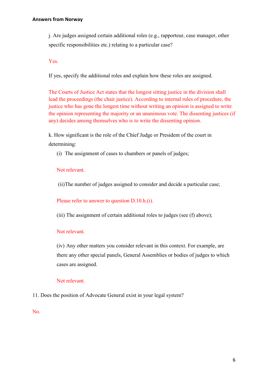j. Are judges assigned certain additional roles (e.g., rapporteur, case manager, other specific responsibilities etc.) relating to a particular case?

Yes.

If yes, specify the additional roles and explain how these roles are assigned.

The Courts of Justice Act states that the longest sitting justice in the division shall lead the proceedings (the chair justice). According to internal rules of procedure, the justice who has gone the longest time without writing an opinion is assigned to write the opinion representing the majority or an unanimous vote. The dissenting justices (if any) decides among themselves who is to write the dissenting opinion.

k. How significant is the role of the Chief Judge or President of the court in determining:

(i) The assignment of cases to chambers or panels of judges;

## Not relevant.

(ii)The number of judges assigned to consider and decide a particular case;

Please refer to answer to question D.10.h.(i).

(iii) The assignment of certain additional roles to judges (see (f) above);

#### Not relevant.

(iv) Any other matters you consider relevant in this context. For example, are there any other special panels, General Assemblies or bodies of judges to which cases are assigned.

## Not relevant.

11. Does the position of Advocate General exist in your legal system?

No.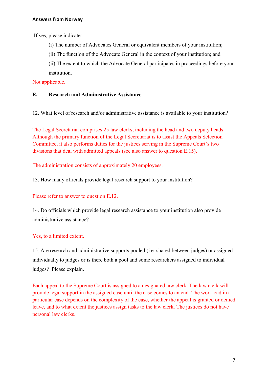If yes, please indicate:

- (i) The number of Advocates General or equivalent members of your institution;
- (ii) The function of the Advocate General in the context of your institution; and
- (ii) The extent to which the Advocate General participates in proceedings before your institution.

## Not applicable.

## **E. Research and Administrative Assistance**

12. What level of research and/or administrative assistance is available to your institution?

The Legal Secretariat comprises 25 law clerks, including the head and two deputy heads. Although the primary function of the Legal Secretariat is to assist the Appeals Selection Committee, it also performs duties for the justices serving in the Supreme Court's two divisions that deal with admitted appeals (see also answer to question E.15).

The administration consists of approximately 20 employees.

13. How many officials provide legal research support to your institution?

## Please refer to answer to question E.12.

14. Do officials which provide legal research assistance to your institution also provide administrative assistance?

## Yes, to a limited extent.

15. Are research and administrative supports pooled (i.e. shared between judges) or assigned individually to judges or is there both a pool and some researchers assigned to individual judges? Please explain.

Each appeal to the Supreme Court is assigned to a designated law clerk. The law clerk will provide legal support in the assigned case until the case comes to an end. The workload in a particular case depends on the complexity of the case, whether the appeal is granted or denied leave, and to what extent the justices assign tasks to the law clerk. The justices do not have personal law clerks.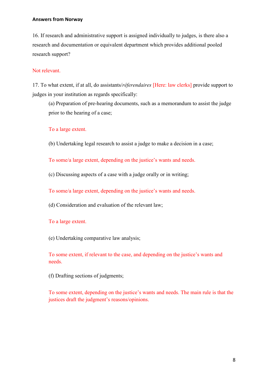16. If research and administrative support is assigned individually to judges, is there also a research and documentation or equivalent department which provides additional pooled research support?

## Not relevant.

17. To what extent, if at all, do assistants/*réferendaires* [Here: law clerks] provide support to judges in your institution as regards specifically:

(a) Preparation of pre-hearing documents, such as a memorandum to assist the judge prior to the hearing of a case;

#### To a large extent.

(b) Undertaking legal research to assist a judge to make a decision in a case;

To some/a large extent, depending on the justice's wants and needs.

(c) Discussing aspects of a case with a judge orally or in writing;

To some/a large extent, depending on the justice's wants and needs.

(d) Consideration and evaluation of the relevant law;

To a large extent.

(e) Undertaking comparative law analysis;

To some extent, if relevant to the case, and depending on the justice's wants and needs.

(f) Drafting sections of judgments;

To some extent, depending on the justice's wants and needs. The main rule is that the justices draft the judgment's reasons/opinions.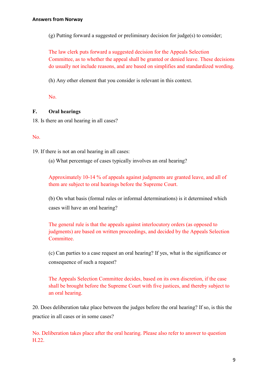(g) Putting forward a suggested or preliminary decision for judge(s) to consider;

The law clerk puts forward a suggested decision for the Appeals Selection Committee, as to whether the appeal shall be granted or denied leave. These decisions do usually not include reasons, and are based on simplifies and standardized wording.

(h) Any other element that you consider is relevant in this context.

No.

## **F. Oral hearings**

18. Is there an oral hearing in all cases?

#### No.

19. If there is not an oral hearing in all cases:

(a) What percentage of cases typically involves an oral hearing?

Approximately 10-14 % of appeals against judgments are granted leave, and all of them are subject to oral hearings before the Supreme Court.

(b) On what basis (formal rules or informal determinations) is it determined which cases will have an oral hearing?

The general rule is that the appeals against interlocutory orders (as opposed to judgments) are based on written proceedings, and decided by the Appeals Selection Committee.

(c) Can parties to a case request an oral hearing? If yes, what is the significance or consequence of such a request?

The Appeals Selection Committee decides, based on its own discretion, if the case shall be brought before the Supreme Court with five justices, and thereby subject to an oral hearing.

20. Does deliberation take place between the judges before the oral hearing? If so, is this the practice in all cases or in some cases?

No. Deliberation takes place after the oral hearing. Please also refer to answer to question H.22.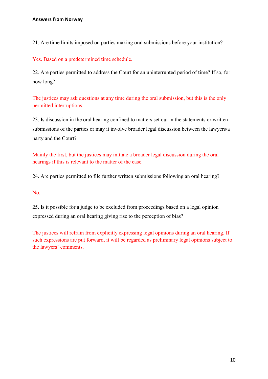21. Are time limits imposed on parties making oral submissions before your institution?

Yes. Based on a predetermined time schedule.

22. Are parties permitted to address the Court for an uninterrupted period of time? If so, for how long?

The justices may ask questions at any time during the oral submission, but this is the only permitted interruptions.

23. Is discussion in the oral hearing confined to matters set out in the statements or written submissions of the parties or may it involve broader legal discussion between the lawyers/a party and the Court?

Mainly the first, but the justices may initiate a broader legal discussion during the oral hearings if this is relevant to the matter of the case.

24. Are parties permitted to file further written submissions following an oral hearing?

No.

25. Is it possible for a judge to be excluded from proceedings based on a legal opinion expressed during an oral hearing giving rise to the perception of bias?

The justices will refrain from explicitly expressing legal opinions during an oral hearing. If such expressions are put forward, it will be regarded as preliminary legal opinions subject to the lawyers' comments.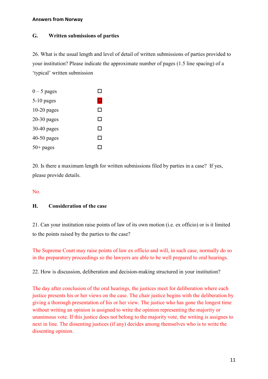## **G. Written submissions of parties**

26. What is the usual length and level of detail of written submissions of parties provided to your institution? Please indicate the approximate number of pages (1.5 line spacing) of a 'typical' written submission

| $0-5$ pages   | ΙI  |
|---------------|-----|
| $5-10$ pages  | ◘   |
| $10-20$ pages | П   |
| $20-30$ pages | П   |
| $30-40$ pages | П   |
| $40-50$ pages | П   |
| $50+$ pages   | . I |

20. Is there a maximum length for written submissions filed by parties in a case? If yes, please provide details.

No.

## **H. Consideration of the case**

21. Can your institution raise points of law of its own motion (i.e. ex officio) or is it limited to the points raised by the parties to the case?

The Supreme Court may raise points of law ex officio and will, in such case, normally do so in the preparatory proceedings so the lawyers are able to be well prepared to oral hearings.

22. How is discussion, deliberation and decision-making structured in your institution?

The day after conclusion of the oral hearings, the justices meet for deliberation where each justice presents his or her views on the case. The chair justice begins with the deliberation by giving a thorough presentation of his or her view. The justice who has gone the longest time without writing an opinion is assigned to write the opinion representing the majority or unanimous vote. If this justice does not belong to the majority vote, the writing is assignes to next in line. The dissenting justices (if any) decides among themselves who is to write the dissenting opinion.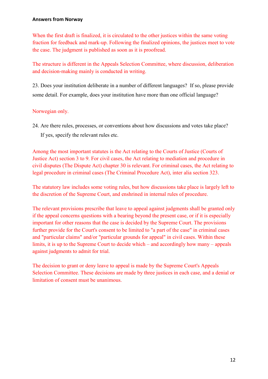When the first draft is finalized, it is circulated to the other justices within the same voting fraction for feedback and mark-up. Following the finalized opinions, the justices meet to vote the case. The judgment is published as soon as it is proofread.

The structure is different in the Appeals Selection Committee, where discussion, deliberation and decision-making mainly is conducted in writing.

23. Does your institution deliberate in a number of different languages? If so, please provide some detail. For example, does your institution have more than one official language?

## Norwegian only.

24. Are there rules, processes, or conventions about how discussions and votes take place? If yes, specify the relevant rules etc.

Among the most important statutes is the Act relating to the Courts of Justice (Courts of Justice Act) section 3 to 9. For civil cases, the Act relating to mediation and procedure in civil disputes (The Dispute Act) chapter 30 is relevant. For criminal cases, the Act relating to legal procedure in criminal cases (The Criminal Procedure Act), inter alia section 323.

The statutory law includes some voting rules, but how discussions take place is largely left to the discretion of the Supreme Court, and enshrined in internal rules of procedure.

The relevant provisions prescribe that leave to appeal against judgments shall be granted only if the appeal concerns questions with a bearing beyond the present case, or if it is especially important for other reasons that the case is decided by the Supreme Court. The provisions further provide for the Court's consent to be limited to "a part of the case" in criminal cases and "particular claims" and/or "particular grounds for appeal" in civil cases. Within these limits, it is up to the Supreme Court to decide which – and accordingly how many – appeals against judgments to admit for trial.

The decision to grant or deny leave to appeal is made by the Supreme Court's Appeals Selection Committee. These decisions are made by three justices in each case, and a denial or limitation of consent must be unanimous.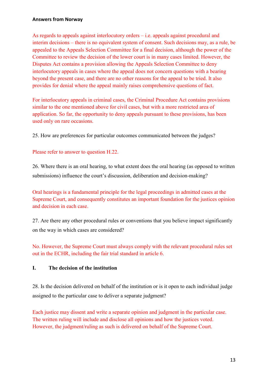As regards to appeals against interlocutory orders – i.e. appeals against procedural and interim decisions – there is no equivalent system of consent. Such decisions may, as a rule, be appealed to the Appeals Selection Committee for a final decision, although the power of the Committee to review the decision of the lower court is in many cases limited. However, the Disputes Act contains a provision allowing the Appeals Selection Committee to deny interlocutory appeals in cases where the appeal does not concern questions with a bearing beyond the present case, and there are no other reasons for the appeal to be tried. It also provides for denial where the appeal mainly raises comprehensive questions of fact.

For interlocutory appeals in criminal cases, the Criminal Procedure Act contains provisions similar to the one mentioned above for civil cases, but with a more restricted area of application. So far, the opportunity to deny appeals pursuant to these provisions, has been used only on rare occasions.

25. How are preferences for particular outcomes communicated between the judges?

## Please refer to answer to question H.22.

26. Where there is an oral hearing, to what extent does the oral hearing (as opposed to written submissions) influence the court's discussion, deliberation and decision-making?

Oral hearings is a fundamental principle for the legal proceedings in admitted cases at the Supreme Court, and consequently constitutes an important foundation for the justices opinion and decision in each case.

27. Are there any other procedural rules or conventions that you believe impact significantly on the way in which cases are considered?

No. However, the Supreme Court must always comply with the relevant procedural rules set out in the ECHR, including the fair trial standard in article 6.

## **I. The decision of the institution**

28. Is the decision delivered on behalf of the institution or is it open to each individual judge assigned to the particular case to deliver a separate judgment?

Each justice may dissent and write a separate opinion and judgment in the particular case. The written ruling will include and disclose all opinions and how the justices voted. However, the judgment/ruling as such is delivered on behalf of the Supreme Court.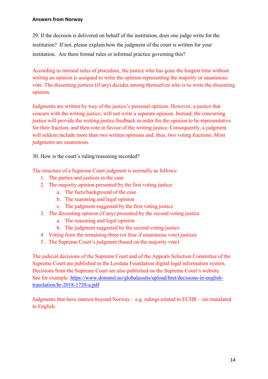29. If the decision is delivered on behalf of the institution, does one judge write for the institution? If not, please explain how the judgment of the court is written for your institution. Are there formal rules or informal practice governing this?

According to internal rules of procedure, the justice who has gone the longest time without writing an opinion is assigned to write the opinion representing the majority or unanimous vote. The dissenting justices (if any) decides among themselves who is to write the dissenting opinion.

Judgments are written by way of the justice's personal opinion. However, a justice that concurs with the writing justice, will not write a separate opinion. Instead, the concurring justice will provide the writing justice feedback in order for the opinion to be representative for their fraction, and then vote in favour of the writing justice. Consequently, a judgment will seldom include more than two written opinions and, thus, two voting fractions. Most judgments are unanimous.

30. How is the court's ruling/reasoning recorded?

The structure of a Supreme Court judgment is normally as follows:

- 1. The parties and justices in the case
- 2. The majority opinion presented by the first voting justice
	- a. The facts/background of the case
	- b. The reasoning and legal opinion
	- c. The judgment suggested by the first voting justice
- 3. The dissenting opinion (if any) presented by the second voting justice
	- a. The reasoning and legal opinion
	- b. The judgment suggested by the second voting justice
- 4. Voting from the remaining three (or four if unanimous vote) justices
- 5. The Supreme Court's judgment (based on the majority vote)

The judicial decisions of the Supreme Court and of the Appeals Selection Committee of the Supreme Court are published in the Lovdata Foundation digital legal information system. Decisions from the Supreme Court are also published on the Supreme Court's website. See for example: [https://www.domstol.no/globalassets/upload/hret/decisions-in-english](https://www.domstol.no/globalassets/upload/hret/decisions-in-english-translation/hr-2018-1720-a.pdf)[translation/hr-2018-1720-a.pdf](https://www.domstol.no/globalassets/upload/hret/decisions-in-english-translation/hr-2018-1720-a.pdf)

Judgments that have interest beyond Norway – e.g. rulings related to ECHR – are translated to English.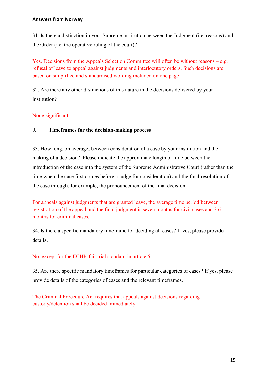31. Is there a distinction in your Supreme institution between the Judgment (i.e. reasons) and the Order (i.e. the operative ruling of the court)?

Yes. Decisions from the Appeals Selection Committee will often be without reasons – e.g. refusal of leave to appeal against judgments and interlocutory orders. Such decisions are based on simplified and standardised wording included on one page.

32. Are there any other distinctions of this nature in the decisions delivered by your institution?

None significant.

## **J. Timeframes for the decision-making process**

33. How long, on average, between consideration of a case by your institution and the making of a decision? Please indicate the approximate length of time between the introduction of the case into the system of the Supreme Administrative Court (rather than the time when the case first comes before a judge for consideration) and the final resolution of the case through, for example, the pronouncement of the final decision.

For appeals against judgments that are granted leave, the average time period between registration of the appeal and the final judgment is seven months for civil cases and 3.6 months for criminal cases.

34. Is there a specific mandatory timeframe for deciding all cases? If yes, please provide details.

No, except for the ECHR fair trial standard in article 6.

35. Are there specific mandatory timeframes for particular categories of cases? If yes, please provide details of the categories of cases and the relevant timeframes.

The Criminal Procedure Act requires that appeals against decisions regarding custody/detention shall be decided immediately.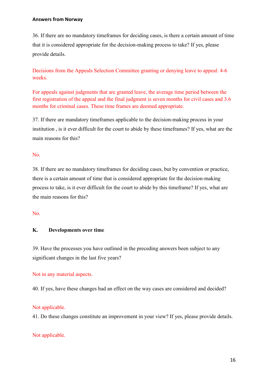36. If there are no mandatory timeframes for deciding cases, is there a certain amount of time that it is considered appropriate for the decision-making process to take? If yes, please provide details.

Decisions from the Appeals Selection Committee granting or denying leave to appeal: 4-6 weeks.

For appeals against judgments that are granted leave, the average time period between the first registration of the appeal and the final judgment is seven months for civil cases and 3.6 months for criminal cases. These time frames are deemed appropriate.

37. If there are mandatory timeframes applicable to the decision-making process in your institution , is it ever difficult for the court to abide by these timeframes? If yes, what are the main reasons for this?

#### No.

38. If there are no mandatory timeframes for deciding cases, but by convention or practice, there is a certain amount of time that is considered appropriate for the decision-making process to take, is it ever difficult for the court to abide by this timeframe? If yes, what are the main reasons for this?

#### No.

#### **K. Developments over time**

39. Have the processes you have outlined in the preceding answers been subject to any significant changes in the last five years?

#### Not in any material aspects.

40. If yes, have these changes had an effect on the way cases are considered and decided?

#### Not applicable.

41. Do these changes constitute an improvement in your view? If yes, please provide details.

#### Not applicable.